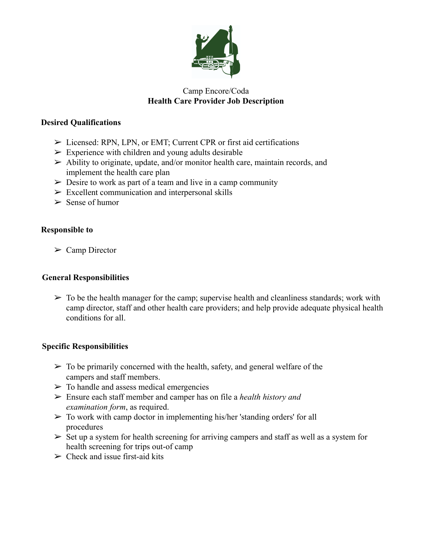

# Camp Encore/Coda **Health Care Provider Job Description**

## **Desired Qualifications**

- ➢ Licensed: RPN, LPN, or EMT; Current CPR or first aid certifications
- $\triangleright$  Experience with children and young adults desirable
- $\triangleright$  Ability to originate, update, and/or monitor health care, maintain records, and implement the health care plan
- $\geq$  Desire to work as part of a team and live in a camp community
- $\triangleright$  Excellent communication and interpersonal skills
- $\geq$  Sense of humor

## **Responsible to**

 $\triangleright$  Camp Director

#### **General Responsibilities**

 $\triangleright$  To be the health manager for the camp; supervise health and cleanliness standards; work with camp director, staff and other health care providers; and help provide adequate physical health conditions for all.

# **Specific Responsibilities**

- $\triangleright$  To be primarily concerned with the health, safety, and general welfare of the campers and staff members.
- $\triangleright$  To handle and assess medical emergencies
- ➢ Ensure each staff member and camper has on file a *health history and examination form*, as required.
- $\triangleright$  To work with camp doctor in implementing his/her 'standing orders' for all procedures
- $\triangleright$  Set up a system for health screening for arriving campers and staff as well as a system for health screening for trips out-of camp
- $\geq$  Check and issue first-aid kits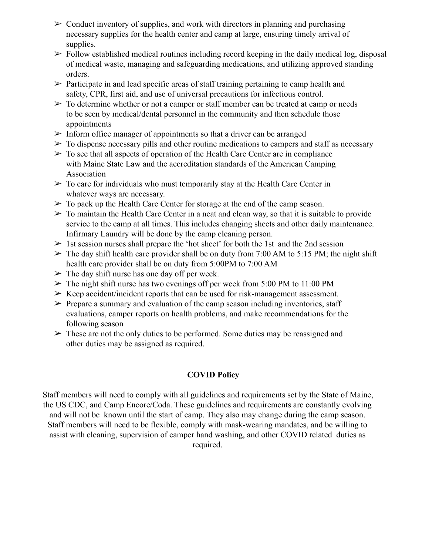- $\geq$  Conduct inventory of supplies, and work with directors in planning and purchasing necessary supplies for the health center and camp at large, ensuring timely arrival of supplies.
- $\triangleright$  Follow established medical routines including record keeping in the daily medical log, disposal of medical waste, managing and safeguarding medications, and utilizing approved standing orders.
- $\triangleright$  Participate in and lead specific areas of staff training pertaining to camp health and safety, CPR, first aid, and use of universal precautions for infectious control.
- $\triangleright$  To determine whether or not a camper or staff member can be treated at camp or needs to be seen by medical/dental personnel in the community and then schedule those appointments
- $\triangleright$  Inform office manager of appointments so that a driver can be arranged
- $\triangleright$  To dispense necessary pills and other routine medications to campers and staff as necessary
- $\triangleright$  To see that all aspects of operation of the Health Care Center are in compliance with Maine State Law and the accreditation standards of the American Camping Association
- $\triangleright$  To care for individuals who must temporarily stay at the Health Care Center in whatever ways are necessary.
- $\triangleright$  To pack up the Health Care Center for storage at the end of the camp season.
- $\triangleright$  To maintain the Health Care Center in a neat and clean way, so that it is suitable to provide service to the camp at all times. This includes changing sheets and other daily maintenance. Infirmary Laundry will be done by the camp cleaning person.
- $>$  1st session nurses shall prepare the 'hot sheet' for both the 1st and the 2nd session
- $\triangleright$  The day shift health care provider shall be on duty from 7:00 AM to 5:15 PM; the night shift health care provider shall be on duty from 5:00PM to 7:00 AM
- $\triangleright$  The day shift nurse has one day off per week.
- $\triangleright$  The night shift nurse has two evenings off per week from 5:00 PM to 11:00 PM
- $\triangleright$  Keep accident/incident reports that can be used for risk-management assessment.
- $\triangleright$  Prepare a summary and evaluation of the camp season including inventories, staff evaluations, camper reports on health problems, and make recommendations for the following season
- $\triangleright$  These are not the only duties to be performed. Some duties may be reassigned and other duties may be assigned as required.

# **COVID Policy**

Staff members will need to comply with all guidelines and requirements set by the State of Maine, the US CDC, and Camp Encore/Coda. These guidelines and requirements are constantly evolving and will not be known until the start of camp. They also may change during the camp season. Staff members will need to be flexible, comply with mask-wearing mandates, and be willing to assist with cleaning, supervision of camper hand washing, and other COVID related duties as required.